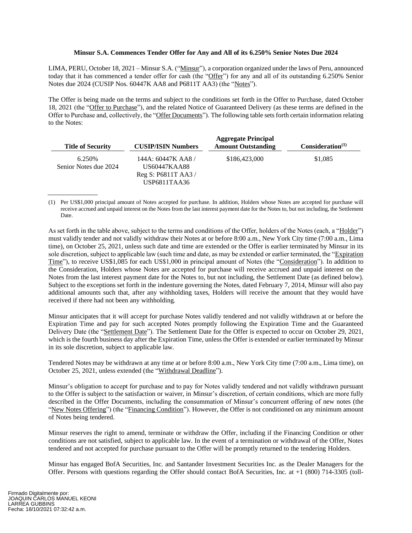## **Minsur S.A. Commences Tender Offer for Any and All of its 6.250% Senior Notes Due 2024**

LIMA, PERU, October 18, 2021 – Minsur S.A. ("Minsur"), a corporation organized under the laws of Peru, announced today that it has commenced a tender offer for cash (the "Offer") for any and all of its outstanding 6.250% Senior Notes due 2024 (CUSIP Nos. 60447K AA8 and P6811T AA3) (the "Notes").

The Offer is being made on the terms and subject to the conditions set forth in the Offer to Purchase, dated October 18, 2021 (the "Offer to Purchase"), and the related Notice of Guaranteed Delivery (as these terms are defined in the Offer to Purchase and, collectively, the "Offer Documents"). The following table sets forth certain information relating to the Notes:

| <b>Title of Security</b>         | <b>CUSIP/ISIN Numbers</b>                                                   | <b>Aggregate Principal</b><br><b>Amount Outstanding</b> | Consideration <sup>(1)</sup> |
|----------------------------------|-----------------------------------------------------------------------------|---------------------------------------------------------|------------------------------|
| 6.250\%<br>Senior Notes due 2024 | 144A: 60447K AA8 /<br>US60447KAA88<br>Reg S: $P6811T$ AA3 /<br>USP6811TAA36 | \$186,423,000                                           | \$1,085                      |

(1) Per US\$1,000 principal amount of Notes accepted for purchase. In addition, Holders whose Notes are accepted for purchase will receive accrued and unpaid interest on the Notes from the last interest payment date for the Notes to, but not including, the Settlement Date.

As set forth in the table above, subject to the terms and conditions of the Offer, holders of the Notes (each, a "Holder") must validly tender and not validly withdraw their Notes at or before 8:00 a.m., New York City time (7:00 a.m., Lima time), on October 25, 2021, unless such date and time are extended or the Offer is earlier terminated by Minsur in its sole discretion, subject to applicable law (such time and date, as may be extended or earlier terminated, the "Expiration Time"), to receive US\$1,085 for each US\$1,000 in principal amount of Notes (the "Consideration"). In addition to the Consideration, Holders whose Notes are accepted for purchase will receive accrued and unpaid interest on the Notes from the last interest payment date for the Notes to, but not including, the Settlement Date (as defined below). Subject to the exceptions set forth in the indenture governing the Notes, dated February 7, 2014, Minsur will also pay additional amounts such that, after any withholding taxes, Holders will receive the amount that they would have received if there had not been any withholding.

Minsur anticipates that it will accept for purchase Notes validly tendered and not validly withdrawn at or before the Expiration Time and pay for such accepted Notes promptly following the Expiration Time and the Guaranteed Delivery Date (the "Settlement Date"). The Settlement Date for the Offer is expected to occur on October 29, 2021, which is the fourth business day after the Expiration Time, unless the Offer is extended or earlier terminated by Minsur in its sole discretion, subject to applicable law.

Tendered Notes may be withdrawn at any time at or before 8:00 a.m., New York City time (7:00 a.m., Lima time), on October 25, 2021, unless extended (the "Withdrawal Deadline").

Minsur's obligation to accept for purchase and to pay for Notes validly tendered and not validly withdrawn pursuant to the Offer is subject to the satisfaction or waiver, in Minsur's discretion, of certain conditions, which are more fully described in the Offer Documents, including the consummation of Minsur's concurrent offering of new notes (the "New Notes Offering") (the "Financing Condition"). However, the Offer is not conditioned on any minimum amount of Notes being tendered.

Minsur reserves the right to amend, terminate or withdraw the Offer, including if the Financing Condition or other conditions are not satisfied, subject to applicable law. In the event of a termination or withdrawal of the Offer, Notes tendered and not accepted for purchase pursuant to the Offer will be promptly returned to the tendering Holders.

Minsur has engaged BofA Securities, Inc. and Santander Investment Securities Inc. as the Dealer Managers for the Offer. Persons with questions regarding the Offer should contact BofA Securities, Inc. at +1 (800) 714-3305 (toll